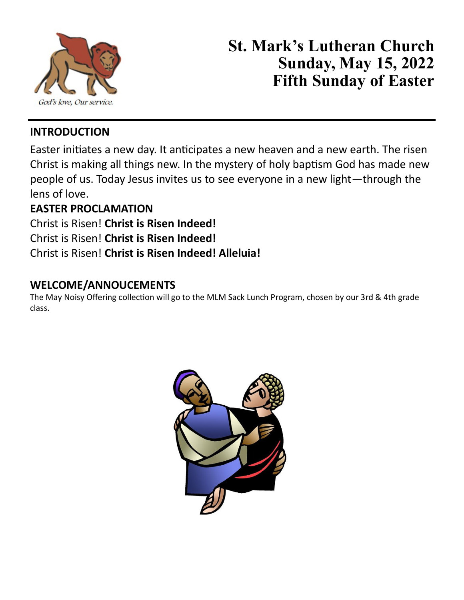

# **St. Mark's Lutheran Church Sunday, May 15, 2022 Fifth Sunday of Easter**

# **INTRODUCTION**

Easter initiates a new day. It anticipates a new heaven and a new earth. The risen Christ is making all things new. In the mystery of holy baptism God has made new people of us. Today Jesus invites us to see everyone in a new light—through the lens of love.

# **EASTER PROCLAMATION**

Christ is Risen! **Christ is Risen Indeed!** Christ is Risen! **Christ is Risen Indeed!**

# Christ is Risen! **Christ is Risen Indeed! Alleluia!**

# **WELCOME/ANNOUCEMENTS**

The May Noisy Offering collection will go to the MLM Sack Lunch Program, chosen by our 3rd & 4th grade class.

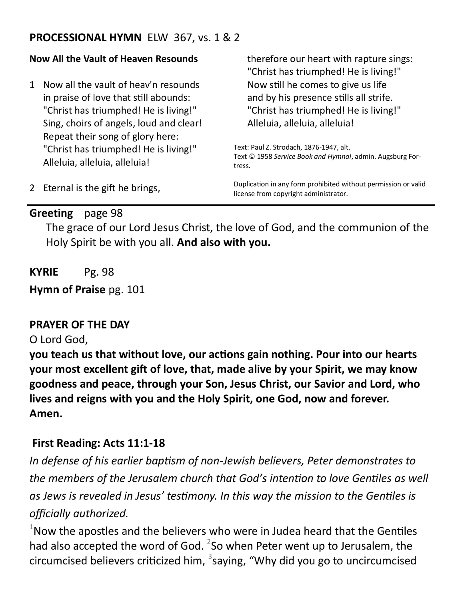### **PROCESSIONAL HYMN** ELW 367, vs. 1 & 2

#### **Now All the Vault of Heaven Resounds**

1 Now all the vault of heav'n resounds in praise of love that still abounds: "Christ has triumphed! He is living!" Sing, choirs of angels, loud and clear! Repeat their song of glory here: "Christ has triumphed! He is living!" Alleluia, alleluia, alleluia!

therefore our heart with rapture sings: "Christ has triumphed! He is living!" Now still he comes to give us life and by his presence stills all strife. "Christ has triumphed! He is living!" Alleluia, alleluia, alleluia!

Text: Paul Z. Strodach, 1876-1947, alt. Text © 1958 *Service Book and Hymnal*, admin. Augsburg Fortress.

Duplication in any form prohibited without permission or valid license from copyright administrator.

# 2 Eternal is the gift he brings,

### **Greeting** page 98

The grace of our Lord Jesus Christ, the love of God, and the communion of the Holy Spirit be with you all. **And also with you.**

**KYRIE** Pg. 98

**Hymn of Praise** pg. 101

### **PRAYER OF THE DAY**

### O Lord God,

**you teach us that without love, our actions gain nothing. Pour into our hearts your most excellent gift of love, that, made alive by your Spirit, we may know goodness and peace, through your Son, Jesus Christ, our Savior and Lord, who lives and reigns with you and the Holy Spirit, one God, now and forever. Amen.**

### **First Reading: Acts 11:1-18**

*In defense of his earlier baptism of non-Jewish believers, Peter demonstrates to the members of the Jerusalem church that God's intention to love Gentiles as well as Jews is revealed in Jesus' testimony. In this way the mission to the Gentiles is officially authorized.*

 $1$ Now the apostles and the believers who were in Judea heard that the Gentiles had also accepted the word of God.  $^{2}$ So when Peter went up to Jerusalem, the circumcised believers criticized him,  $3$ saying, "Why did you go to uncircumcised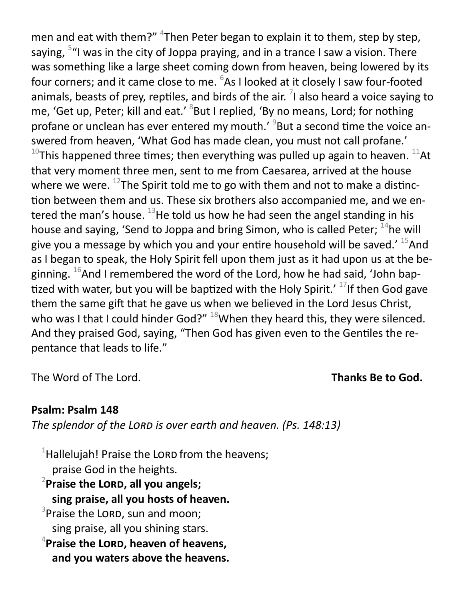men and eat with them?" <sup>4</sup>Then Peter began to explain it to them, step by step, saying, <sup>5</sup>"I was in the city of Joppa praying, and in a trance I saw a vision. There was something like a large sheet coming down from heaven, being lowered by its four corners; and it came close to me.  $6$ As I looked at it closely I saw four-footed animals, beasts of prey, reptiles, and birds of the air.  $^7$ I also heard a voice saying to me, 'Get up, Peter; kill and eat.' <sup>8</sup>But I replied, 'By no means, Lord; for nothing profane or unclean has ever entered my mouth.'<sup>9</sup> But a second time the voice answered from heaven, 'What God has made clean, you must not call profane.' <sup>10</sup>This happened three times; then everything was pulled up again to heaven.  $^{11}$ At that very moment three men, sent to me from Caesarea, arrived at the house where we were.  $^{12}$ The Spirit told me to go with them and not to make a distinction between them and us. These six brothers also accompanied me, and we entered the man's house.  $^{13}$ He told us how he had seen the angel standing in his house and saying, 'Send to Joppa and bring Simon, who is called Peter;  $^{14}$ he will give you a message by which you and your entire household will be saved.'  $^{15}$ And as I began to speak, the Holy Spirit fell upon them just as it had upon us at the beginning.  $^{16}$ And I remembered the word of the Lord, how he had said, 'John baptized with water, but you will be baptized with the Holy Spirit.'  $^{17}$ If then God gave them the same gift that he gave us when we believed in the Lord Jesus Christ, who was I that I could hinder God?"  $^{18}$ When they heard this, they were silenced. And they praised God, saying, "Then God has given even to the Gentiles the repentance that leads to life."

The Word of The Lord. **Thanks Be to God.** 

### **Psalm: Psalm 148**

*The splendor of the Lord is over earth and heaven. (Ps. 148:13)*

 $1$ Hallelujah! Praise the LORD from the heavens; praise God in the heights.

<sup>2</sup> Praise the LORD, all you angels; **sing praise, all you hosts of heaven.**

 $3$ Praise the LORD, sun and moon; sing praise, all you shining stars.

4 **Praise the Lord, heaven of heavens, and you waters above the heavens.**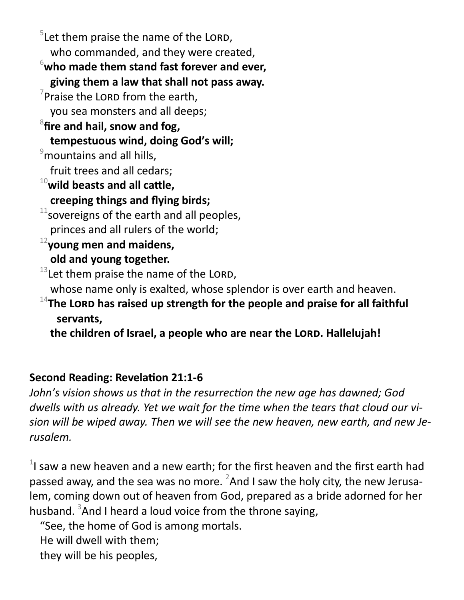$5$ Let them praise the name of the LORD, who commanded, and they were created, <sup>6</sup>**who made them stand fast forever and ever, giving them a law that shall not pass away.**  $\sqrt{7}$ Praise the LORD from the earth, you sea monsters and all deeps; 8 **fire and hail, snow and fog, tempestuous wind, doing God's will;**  $\degree$ mountains and all hills, fruit trees and all cedars; <sup>10</sup>**wild beasts and all cattle, creeping things and flying birds;**  $11$ sovereigns of the earth and all peoples, princes and all rulers of the world; <sup>12</sup>**young men and maidens, old and young together.**  $13$  Let them praise the name of the LORD, whose name only is exalted, whose splendor is over earth and heaven. <sup>14</sup>The LORD has raised up strength for the people and praise for all faithful **servants,**

the children of Israel, a people who are near the LORD. Hallelujah!

# **Second Reading: Revelation 21:1-6**

*John's vision shows us that in the resurrection the new age has dawned; God dwells with us already. Yet we wait for the time when the tears that cloud our vision will be wiped away. Then we will see the new heaven, new earth, and new Jerusalem.*

 $1$  saw a new heaven and a new earth; for the first heaven and the first earth had passed away, and the sea was no more.  ${}^{2}$ And I saw the holy city, the new Jerusalem, coming down out of heaven from God, prepared as a bride adorned for her husband. <sup>3</sup>And I heard a loud voice from the throne saying,

"See, the home of God is among mortals. He will dwell with them; they will be his peoples,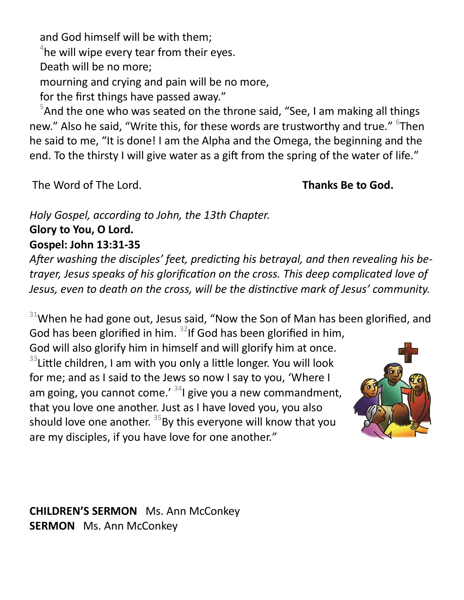and God himself will be with them;

 $4$ he will wipe every tear from their eyes.

Death will be no more;

mourning and crying and pain will be no more,

for the first things have passed away."

 $5$ And the one who was seated on the throne said, "See, I am making all things new." Also he said, "Write this, for these words are trustworthy and true." <sup>6</sup>Then he said to me, "It is done! I am the Alpha and the Omega, the beginning and the end. To the thirsty I will give water as a gift from the spring of the water of life."

The Word of The Lord. **Thanks Be to God.** 

*Holy Gospel, according to John, the 13th Chapter.* **Glory to You, O Lord. Gospel: John 13:31-35** 

*After washing the disciples' feet, predicting his betrayal, and then revealing his betrayer, Jesus speaks of his glorification on the cross. This deep complicated love of Jesus, even to death on the cross, will be the distinctive mark of Jesus' community.*

 $31$ When he had gone out, Jesus said, "Now the Son of Man has been glorified, and God has been glorified in him.  $32$ If God has been glorified in him,

God will also glorify him in himself and will glorify him at once.  $33$ Little children, I am with you only a little longer. You will look for me; and as I said to the Jews so now I say to you, 'Where I am going, you cannot come.'  $341$  give you a new commandment, that you love one another. Just as I have loved you, you also should love one another.  $35$  By this everyone will know that you are my disciples, if you have love for one another."



**CHILDREN'S SERMON** Ms. Ann McConkey **SERMON** Ms. Ann McConkey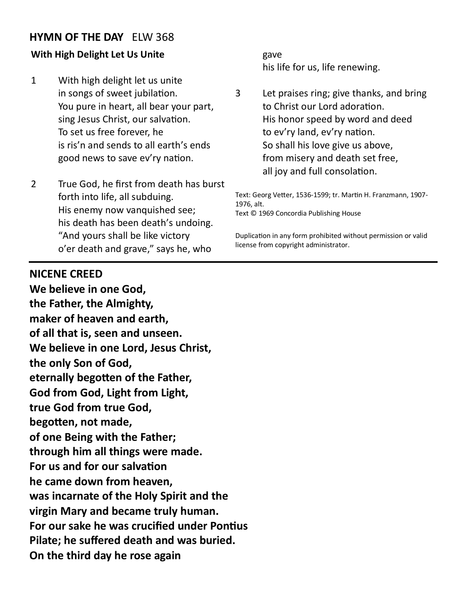### **HYMN OF THE DAY** ELW 368

#### **With High Delight Let Us Unite**

- 1 With high delight let us unite in songs of sweet jubilation. You pure in heart, all bear your part, sing Jesus Christ, our salvation. To set us free forever, he is ris'n and sends to all earth's ends good news to save ev'ry nation.
- 2 True God, he first from death has burst forth into life, all subduing. His enemy now vanquished see; his death has been death's undoing. "And yours shall be like victory o'er death and grave," says he, who

gave his life for us, life renewing.

3 Let praises ring; give thanks, and bring to Christ our Lord adoration. His honor speed by word and deed to ev'ry land, ev'ry nation. So shall his love give us above, from misery and death set free, all joy and full consolation.

Text: Georg Vetter, 1536-1599; tr. Martin H. Franzmann, 1907- 1976, alt. Text © 1969 Concordia Publishing House

Duplication in any form prohibited without permission or valid license from copyright administrator.

#### **NICENE CREED**

**We believe in one God, the Father, the Almighty, maker of heaven and earth, of all that is, seen and unseen. We believe in one Lord, Jesus Christ, the only Son of God, eternally begotten of the Father, God from God, Light from Light, true God from true God, begotten, not made, of one Being with the Father; through him all things were made. For us and for our salvation he came down from heaven, was incarnate of the Holy Spirit and the virgin Mary and became truly human. For our sake he was crucified under Pontius Pilate; he suffered death and was buried. On the third day he rose again**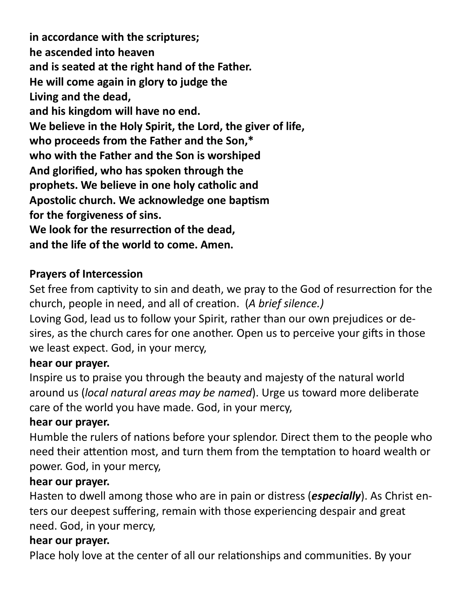**in accordance with the scriptures; he ascended into heaven and is seated at the right hand of the Father. He will come again in glory to judge the Living and the dead, and his kingdom will have no end. We believe in the Holy Spirit, the Lord, the giver of life, who proceeds from the Father and the Son,\* who with the Father and the Son is worshiped And glorified, who has spoken through the prophets. We believe in one holy catholic and Apostolic church. We acknowledge one baptism for the forgiveness of sins. We look for the resurrection of the dead, and the life of the world to come. Amen.**

# **Prayers of Intercession**

Set free from captivity to sin and death, we pray to the God of resurrection for the church, people in need, and all of creation. (*A brief silence.)*

Loving God, lead us to follow your Spirit, rather than our own prejudices or desires, as the church cares for one another. Open us to perceive your gifts in those we least expect. God, in your mercy,

# **hear our prayer.**

Inspire us to praise you through the beauty and majesty of the natural world around us (*local natural areas may be named*). Urge us toward more deliberate care of the world you have made. God, in your mercy,

# **hear our prayer.**

Humble the rulers of nations before your splendor. Direct them to the people who need their attention most, and turn them from the temptation to hoard wealth or power. God, in your mercy,

# **hear our prayer.**

Hasten to dwell among those who are in pain or distress (*especially*). As Christ enters our deepest suffering, remain with those experiencing despair and great need. God, in your mercy,

# **hear our prayer.**

Place holy love at the center of all our relationships and communities. By your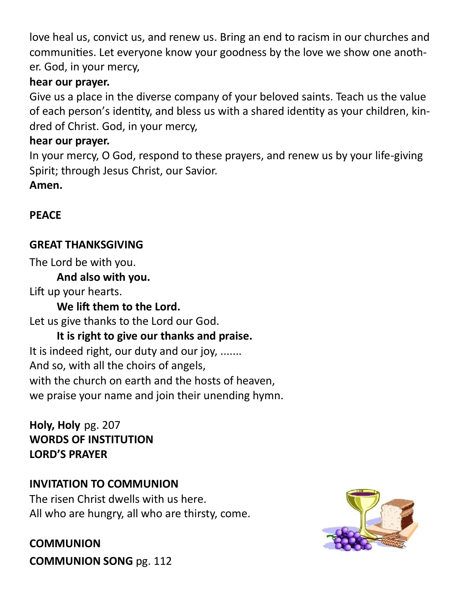love heal us, convict us, and renew us. Bring an end to racism in our churches and communities. Let everyone know your goodness by the love we show one another. God, in your mercy,

# **hear our prayer.**

Give us a place in the diverse company of your beloved saints. Teach us the value of each person's identity, and bless us with a shared identity as your children, kindred of Christ. God, in your mercy,

# **hear our prayer.**

In your mercy, O God, respond to these prayers, and renew us by your life-giving Spirit; through Jesus Christ, our Savior.

**Amen.**

# **PEACE**

# **GREAT THANKSGIVING**

The Lord be with you.

# **And also with you.**

Lift up your hearts.

# **We lift them to the Lord.**

Let us give thanks to the Lord our God.

# **It is right to give our thanks and praise.**

It is indeed right, our duty and our joy, ....... And so, with all the choirs of angels, with the church on earth and the hosts of heaven, we praise your name and join their unending hymn.

**Holy, Holy** pg. 207 **WORDS OF INSTITUTION LORD'S PRAYER** 

# **INVITATION TO COMMUNION**

The risen Christ dwells with us here. All who are hungry, all who are thirsty, come.

**COMMUNION COMMUNION SONG** pg. 112

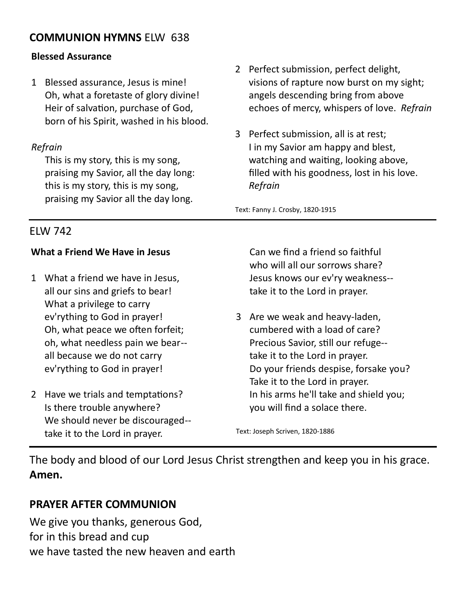### **COMMUNION HYMNS** ELW 638

#### **Blessed Assurance**

1 Blessed assurance, Jesus is mine! Oh, what a foretaste of glory divine! Heir of salvation, purchase of God, born of his Spirit, washed in his blood.

#### *Refrain*

This is my story, this is my song, praising my Savior, all the day long: this is my story, this is my song, praising my Savior all the day long.

- 2 Perfect submission, perfect delight, visions of rapture now burst on my sight; angels descending bring from above echoes of mercy, whispers of love. *Refrain*
- 3 Perfect submission, all is at rest; I in my Savior am happy and blest, watching and waiting, looking above, filled with his goodness, lost in his love. *Refrain*

Text: Fanny J. Crosby, 1820-1915

### ELW 742

#### **What a Friend We Have in Jesus**

- 1 What a friend we have in Jesus, all our sins and griefs to bear! What a privilege to carry ev'rything to God in prayer! Oh, what peace we often forfeit; oh, what needless pain we bear- all because we do not carry ev'rything to God in prayer!
- 2 Have we trials and temptations? Is there trouble anywhere? We should never be discouraged- take it to the Lord in prayer.

Can we find a friend so faithful who will all our sorrows share? Jesus knows our ev'ry weakness- take it to the Lord in prayer.

3 Are we weak and heavy-laden, cumbered with a load of care? Precious Savior, still our refuge- take it to the Lord in prayer. Do your friends despise, forsake you? Take it to the Lord in prayer. In his arms he'll take and shield you; you will find a solace there.

Text: Joseph Scriven, 1820-1886

The body and blood of our Lord Jesus Christ strengthen and keep you in his grace. **Amen.**

### **PRAYER AFTER COMMUNION**

We give you thanks, generous God, for in this bread and cup we have tasted the new heaven and earth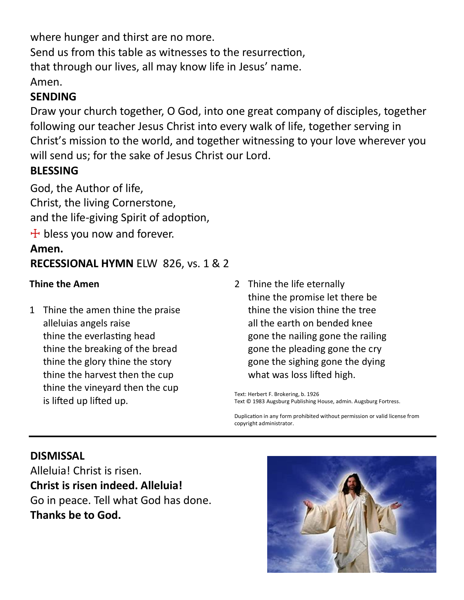where hunger and thirst are no more.

Send us from this table as witnesses to the resurrection,

that through our lives, all may know life in Jesus' name.

Amen.

# **SENDING**

Draw your church together, O God, into one great company of disciples, together following our teacher Jesus Christ into every walk of life, together serving in Christ's mission to the world, and together witnessing to your love wherever you will send us; for the sake of Jesus Christ our Lord.

# **BLESSING**

God, the Author of life, Christ, the living Cornerstone, and the life-giving Spirit of adoption,  $+$  bless you now and forever.

# **Amen. RECESSIONAL HYMN** ELW 826, vs. 1 & 2

### **Thine the Amen**

- 1 Thine the amen thine the praise alleluias angels raise thine the everlasting head thine the breaking of the bread thine the glory thine the story thine the harvest then the cup thine the vineyard then the cup is lifted up lifted up.
- 2 Thine the life eternally thine the promise let there be thine the vision thine the tree all the earth on bended knee gone the nailing gone the railing gone the pleading gone the cry gone the sighing gone the dying what was loss lifted high.

Text: Herbert F. Brokering, b. 1926 Text © 1983 Augsburg Publishing House, admin. Augsburg Fortress.

Duplication in any form prohibited without permission or valid license from copyright administrator.

# **DISMISSAL**

Alleluia! Christ is risen. **Christ is risen indeed. Alleluia!** Go in peace. Tell what God has done. **Thanks be to God.**